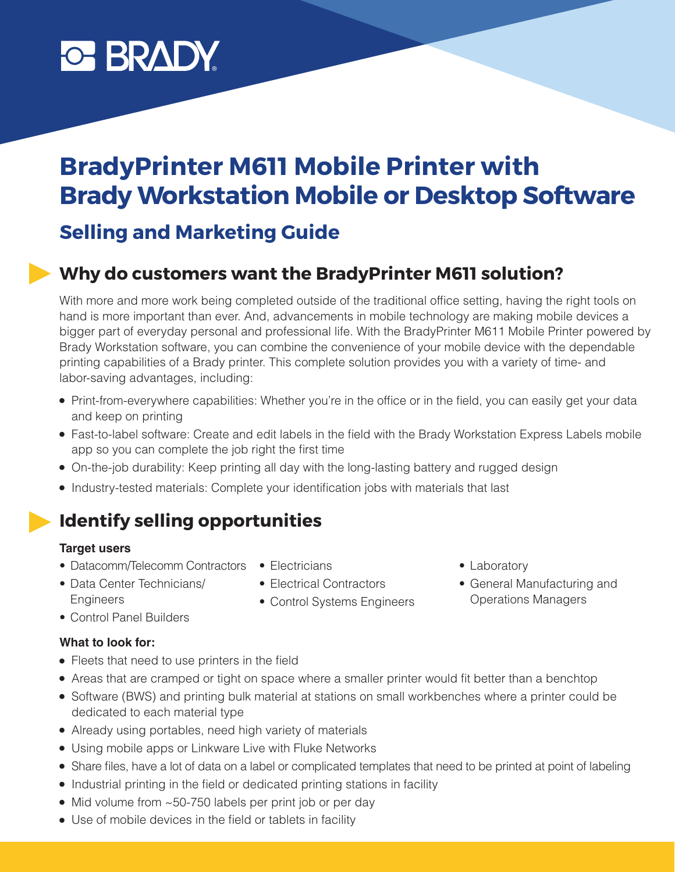# **C BRADY**

## **BradyPrinter M611 Mobile Printer with Brady Workstation Mobile or Desktop Software**

### **Selling and Marketing Guide**

### **Why do customers want the BradyPrinter M611 solution?**

With more and more work being completed outside of the traditional office setting, having the right tools on hand is more important than ever. And, advancements in mobile technology are making mobile devices a bigger part of everyday personal and professional life. With the BradyPrinter M611 Mobile Printer powered by Brady Workstation software, you can combine the convenience of your mobile device with the dependable printing capabilities of a Brady printer. This complete solution provides you with a variety of time- and labor-saving advantages, including:

- Print-from-everywhere capabilities: Whether you're in the office or in the field, you can easily get your data and keep on printing
- Fast-to-label software: Create and edit labels in the field with the Brady Workstation Express Labels mobile app so you can complete the job right the first time
- On-the-job durability: Keep printing all day with the long-lasting battery and rugged design
- Industry-tested materials: Complete your identification jobs with materials that last

### **Identify selling opportunities**

#### **Target users**

- Datacomm/Telecomm Contractors Electricians
- 
- Data Center Technicians/ **Engineers**
- Electrical Contractors
- Control Systems Engineers
- Laboratory
- General Manufacturing and Operations Managers

• Control Panel Builders

### **What to look for:**

- Fleets that need to use printers in the field
- Areas that are cramped or tight on space where a smaller printer would fit better than a benchtop
- Software (BWS) and printing bulk material at stations on small workbenches where a printer could be dedicated to each material type
- Already using portables, need high variety of materials
- Using mobile apps or Linkware Live with Fluke Networks
- Share files, have a lot of data on a label or complicated templates that need to be printed at point of labeling
- Industrial printing in the field or dedicated printing stations in facility
- Mid volume from ~50-750 labels per print job or per day
- Use of mobile devices in the field or tablets in facility